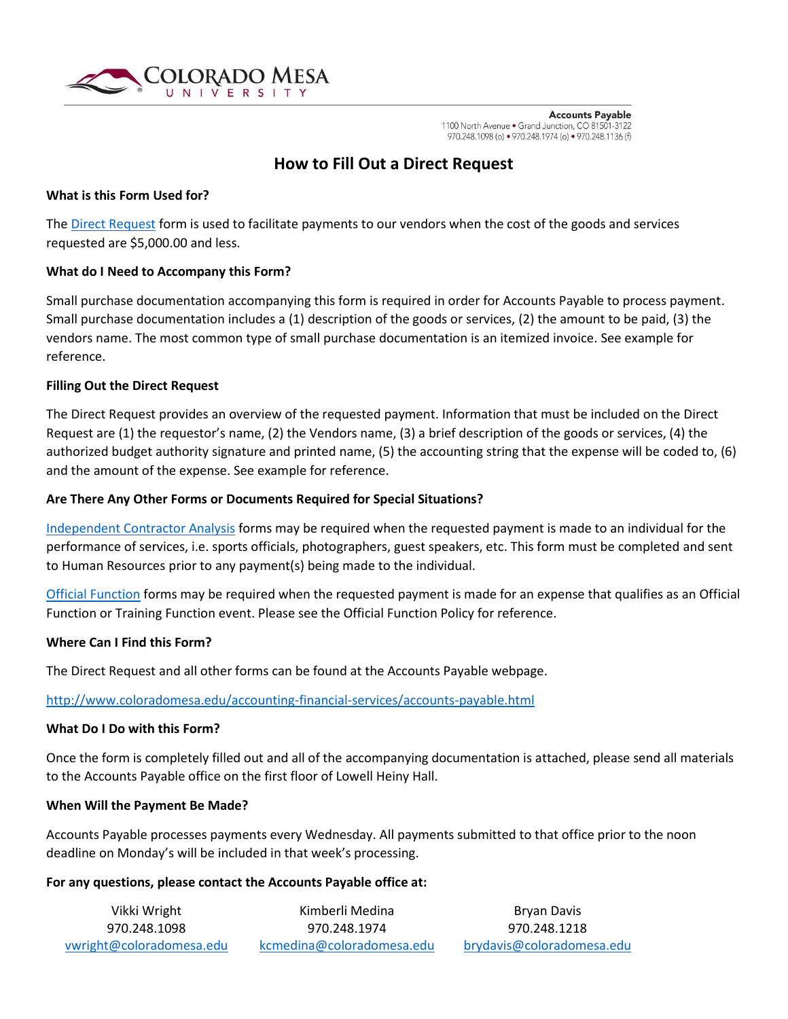

**Accounts Payable** 1100 North Avenue . Grand Junction, CO 81501-3122 970.248.1098 (o) • 970.248.1974 (o) • 970.248.1136 (f)

# **How to Fill Out a Direct Request**

#### **What is this Form Used for?**

The [Direct Request](file://///sharefs/DOSAPPS/Download/Business%20Office%20Forms/Direct%20Request%20Form.xls) form is used to facilitate payments to our vendors when the cost of the goods and services requested are \$5,000.00 and less.

#### **What do I Need to Accompany this Form?**

Small purchase documentation accompanying this form is required in order for Accounts Payable to process payment. Small purchase documentation includes a (1) description of the goods or services, (2) the amount to be paid, (3) the vendors name. The most common type of small purchase documentation is an itemized invoice. See example for reference.

#### **Filling Out the Direct Request**

The Direct Request provides an overview of the requested payment. Information that must be included on the Direct Request are (1) the requestor's name, (2) the Vendors name, (3) a brief description of the goods or services, (4) the authorized budget authority signature and printed name, (5) the accounting string that the expense will be coded to, (6) and the amount of the expense. See example for reference.

#### **Are There Any Other Forms or Documents Required for Special Situations?**

[Independent Contractor Analysis](file://///sharefs/DOSAPPS/Download/Business%20Office%20Forms/EmployeevsInvididualIndependentContractorAnalysis.pdf) forms may be required when the requested payment is made to an individual for the performance of services, i.e. sports officials, photographers, guest speakers, etc. This form must be completed and sent to Human Resources prior to any payment(s) being made to the individual.

[Official Function](file://///sharefs/DOSAPPS/Download/Business%20Office%20Forms/Official%20Function%20Form.xlsx) forms may be required when the requested payment is made for an expense that qualifies as an Official Function or Training Function event. Please see the Official Function Policy for reference.

#### **Where Can I Find this Form?**

The Direct Request and all other forms can be found at the Accounts Payable webpage.

## <http://www.coloradomesa.edu/accounting-financial-services/accounts-payable.html>

#### **What Do I Do with this Form?**

Once the form is completely filled out and all of the accompanying documentation is attached, please send all materials to the Accounts Payable office on the first floor of Lowell Heiny Hall.

#### **When Will the Payment Be Made?**

Accounts Payable processes payments every Wednesday. All payments submitted to that office prior to the noon deadline on Monday's will be included in that week's processing.

## **For any questions, please contact the Accounts Payable office at:**

| Vikki Wright             | Kimberli Medina           | Bryan Davis               |  |  |
|--------------------------|---------------------------|---------------------------|--|--|
| 970.248.1098             | 970.248.1974              | 970.248.1218              |  |  |
| vwright@coloradomesa.edu | kcmedina@coloradomesa.edu | brydavis@coloradomesa.edu |  |  |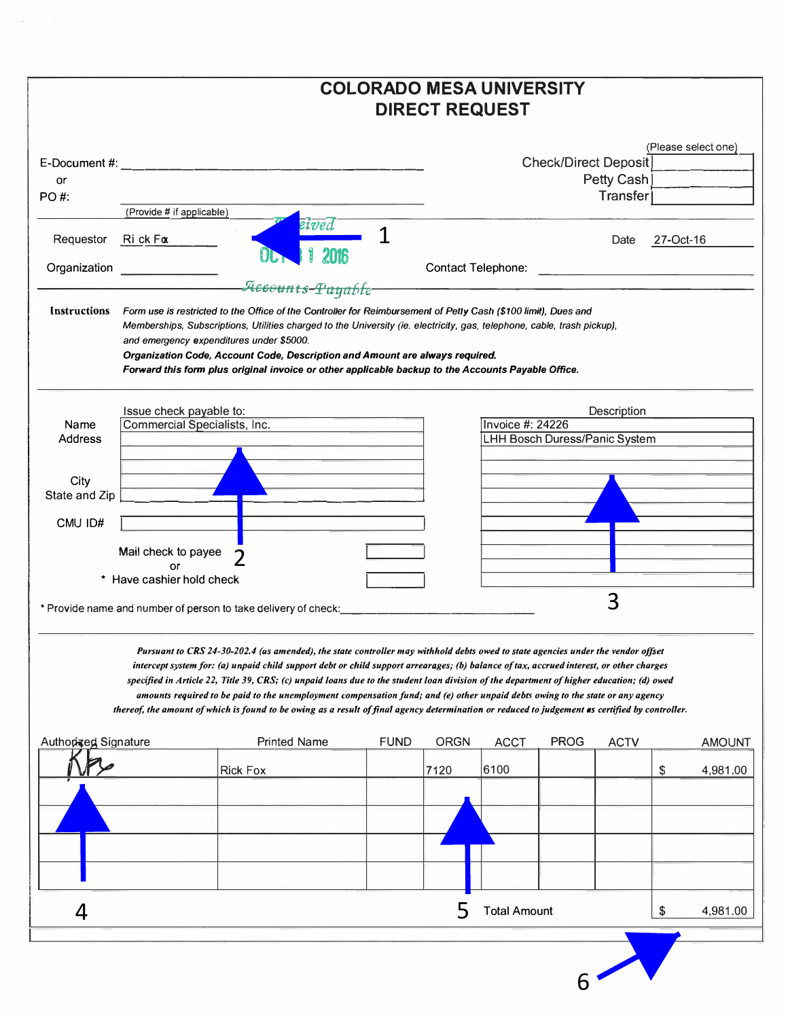|                      |                                       |                                                                                                                                                                                                                                                                                                                                                                                                                                                                                                                                                                                                                                                                                                               | <b>COLORADO MESA UNIVERSITY</b> | <b>DIRECT REQUEST</b> |                         |                                      |                 |           |                     |
|----------------------|---------------------------------------|---------------------------------------------------------------------------------------------------------------------------------------------------------------------------------------------------------------------------------------------------------------------------------------------------------------------------------------------------------------------------------------------------------------------------------------------------------------------------------------------------------------------------------------------------------------------------------------------------------------------------------------------------------------------------------------------------------------|---------------------------------|-----------------------|-------------------------|--------------------------------------|-----------------|-----------|---------------------|
|                      |                                       |                                                                                                                                                                                                                                                                                                                                                                                                                                                                                                                                                                                                                                                                                                               |                                 |                       |                         |                                      |                 |           |                     |
|                      |                                       | E-Document #:                                                                                                                                                                                                                                                                                                                                                                                                                                                                                                                                                                                                                                                                                                 |                                 |                       |                         | <b>Check/Direct Deposit</b>          |                 |           | (Please select one) |
| or                   |                                       |                                                                                                                                                                                                                                                                                                                                                                                                                                                                                                                                                                                                                                                                                                               |                                 |                       |                         |                                      | Petty Cash      |           |                     |
| PO#:                 |                                       |                                                                                                                                                                                                                                                                                                                                                                                                                                                                                                                                                                                                                                                                                                               |                                 |                       |                         |                                      | <b>Transfer</b> |           |                     |
| Requestor            | (Provide # if applicable)<br>Rick Fox | eived                                                                                                                                                                                                                                                                                                                                                                                                                                                                                                                                                                                                                                                                                                         |                                 |                       |                         |                                      | Date            | 27-Oct-16 |                     |
| Organization         |                                       |                                                                                                                                                                                                                                                                                                                                                                                                                                                                                                                                                                                                                                                                                                               |                                 |                       |                         |                                      |                 |           |                     |
|                      |                                       | Accounts-Payable<br>Instructions Form use is restricted to the Office of the Controller for Reimbursement of Petty Cash (\$100 limit), Dues and<br>Memberships, Subscriptions, Utilities charged to the University (ie. electricity, gas, telephone, cable, trash pickup),<br>and emergency expenditures under \$5000.<br>Organization Code, Account Code, Description and Amount are always required.<br>Forward this form plus original invoice or other applicable backup to the Accounts Payable Office.                                                                                                                                                                                                  |                                 |                       |                         |                                      |                 |           |                     |
|                      | Issue check payable to:               |                                                                                                                                                                                                                                                                                                                                                                                                                                                                                                                                                                                                                                                                                                               |                                 |                       |                         |                                      | Description     |           |                     |
| Name                 | Commercial Specialists, Inc.          |                                                                                                                                                                                                                                                                                                                                                                                                                                                                                                                                                                                                                                                                                                               |                                 |                       | <b>Invoice #: 24226</b> |                                      |                 |           |                     |
| <b>Address</b>       |                                       |                                                                                                                                                                                                                                                                                                                                                                                                                                                                                                                                                                                                                                                                                                               |                                 |                       |                         | <b>LHH Bosch Duress/Panic System</b> |                 |           |                     |
|                      |                                       |                                                                                                                                                                                                                                                                                                                                                                                                                                                                                                                                                                                                                                                                                                               |                                 |                       |                         |                                      |                 |           |                     |
| City                 |                                       |                                                                                                                                                                                                                                                                                                                                                                                                                                                                                                                                                                                                                                                                                                               |                                 |                       |                         |                                      |                 |           |                     |
| State and Zip        |                                       |                                                                                                                                                                                                                                                                                                                                                                                                                                                                                                                                                                                                                                                                                                               |                                 |                       |                         |                                      |                 |           |                     |
|                      |                                       |                                                                                                                                                                                                                                                                                                                                                                                                                                                                                                                                                                                                                                                                                                               |                                 |                       |                         |                                      |                 |           |                     |
| CMU ID#              |                                       |                                                                                                                                                                                                                                                                                                                                                                                                                                                                                                                                                                                                                                                                                                               |                                 |                       |                         |                                      |                 |           |                     |
|                      |                                       |                                                                                                                                                                                                                                                                                                                                                                                                                                                                                                                                                                                                                                                                                                               |                                 |                       |                         |                                      |                 |           |                     |
|                      | Mail check to payee                   |                                                                                                                                                                                                                                                                                                                                                                                                                                                                                                                                                                                                                                                                                                               |                                 |                       |                         |                                      |                 |           |                     |
| $\star$              | Have cashier hold check               |                                                                                                                                                                                                                                                                                                                                                                                                                                                                                                                                                                                                                                                                                                               |                                 |                       |                         |                                      |                 |           |                     |
|                      |                                       |                                                                                                                                                                                                                                                                                                                                                                                                                                                                                                                                                                                                                                                                                                               |                                 |                       |                         |                                      |                 |           |                     |
|                      |                                       | * Provide name and number of person to take delivery of check:                                                                                                                                                                                                                                                                                                                                                                                                                                                                                                                                                                                                                                                |                                 |                       |                         |                                      | 3               |           |                     |
|                      |                                       |                                                                                                                                                                                                                                                                                                                                                                                                                                                                                                                                                                                                                                                                                                               |                                 |                       |                         |                                      |                 |           |                     |
|                      |                                       | Pursuant to CRS 24-30-202.4 (as amended), the state controller may withhold debts owed to state agencies under the vendor offset<br>intercept system for: (a) unpaid child support debt or child support arrearages; (b) balance of tax, accrued interest, or other charges<br>specified in Article 22, Title 39, CRS; (c) unpaid loans due to the student loan division of the department of higher education; (d) owed<br>amounts required to be paid to the unemployment compensation fund; and (e) other unpaid debts owing to the state or any agency<br>thereof, the amount of which is found to be owing as a result of final agency determination or reduced to judgement as certified by controller. | <b>FUND</b>                     |                       |                         |                                      |                 |           |                     |
| Authorized Signature |                                       | <b>Printed Name</b>                                                                                                                                                                                                                                                                                                                                                                                                                                                                                                                                                                                                                                                                                           |                                 | <b>ORGN</b>           | <b>ACCT</b>             | <b>PROG</b>                          | <b>ACTV</b>     |           | <b>AMOUNT</b>       |
|                      |                                       | <b>Rick Fox</b>                                                                                                                                                                                                                                                                                                                                                                                                                                                                                                                                                                                                                                                                                               |                                 | 7120                  | 6100                    |                                      |                 | \$        | 4,981.00            |
|                      |                                       |                                                                                                                                                                                                                                                                                                                                                                                                                                                                                                                                                                                                                                                                                                               |                                 |                       |                         |                                      |                 |           |                     |
|                      |                                       |                                                                                                                                                                                                                                                                                                                                                                                                                                                                                                                                                                                                                                                                                                               |                                 |                       |                         |                                      |                 |           |                     |
|                      |                                       |                                                                                                                                                                                                                                                                                                                                                                                                                                                                                                                                                                                                                                                                                                               |                                 |                       |                         |                                      |                 |           |                     |
|                      |                                       |                                                                                                                                                                                                                                                                                                                                                                                                                                                                                                                                                                                                                                                                                                               |                                 |                       |                         |                                      |                 |           |                     |
|                      |                                       |                                                                                                                                                                                                                                                                                                                                                                                                                                                                                                                                                                                                                                                                                                               |                                 |                       |                         |                                      |                 |           |                     |
|                      |                                       |                                                                                                                                                                                                                                                                                                                                                                                                                                                                                                                                                                                                                                                                                                               |                                 |                       |                         |                                      |                 |           |                     |
| 4                    |                                       |                                                                                                                                                                                                                                                                                                                                                                                                                                                                                                                                                                                                                                                                                                               |                                 | 5                     | <b>Total Amount</b>     |                                      |                 | \$        | 4,981.00            |
|                      |                                       |                                                                                                                                                                                                                                                                                                                                                                                                                                                                                                                                                                                                                                                                                                               |                                 |                       |                         |                                      |                 |           |                     |

 $6<sup>7</sup>$